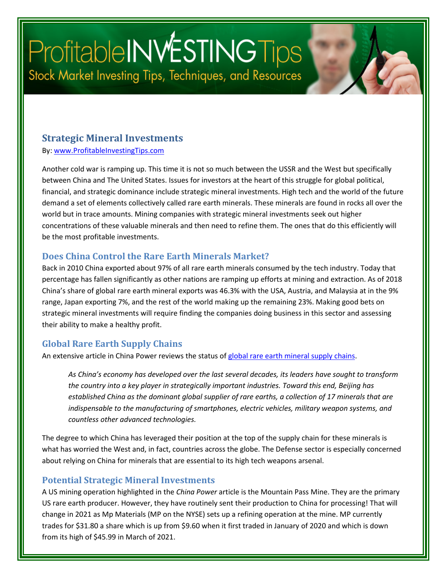# ProfitableINWESTINGTips Stock Market Investing Tips, Techniques, and Resources

#### **Strategic Mineral Investments**

By: [www.ProfitableInvestingTips.com](http://www.profitableinvestingtips.com/)

Another cold war is ramping up. This time it is not so much between the USSR and the West but specifically between China and The United States. Issues for investors at the heart of this struggle for global political, financial, and strategic dominance include strategic mineral investments. High tech and the world of the future demand a set of elements collectively called rare earth minerals. These minerals are found in rocks all over the world but in trace amounts. Mining companies with strategic mineral investments seek out higher concentrations of these valuable minerals and then need to refine them. The ones that do this efficiently will be the most profitable investments.

#### **Does China Control the Rare Earth Minerals Market?**

Back in 2010 China exported about 97% of all rare earth minerals consumed by the tech industry. Today that percentage has fallen significantly as other nations are ramping up efforts at mining and extraction. As of 2018 China's share of global rare earth mineral exports was 46.3% with the USA, Austria, and Malaysia at in the 9% range, Japan exporting 7%, and the rest of the world making up the remaining 23%. Making good bets on strategic mineral investments will require finding the companies doing business in this sector and assessing their ability to make a healthy profit.

#### **Global Rare Earth Supply Chains**

An extensive article in China Power reviews the status o[f global rare earth mineral supply chains.](https://chinapower.csis.org/china-rare-earths/)

*As China's economy has developed over the last several decades, its leaders have sought to transform the country into a key player in strategically important industries. Toward this end, Beijing has established China as the dominant global supplier of rare earths, a collection of 17 minerals that are indispensable to the manufacturing of smartphones, electric vehicles, military weapon systems, and countless other advanced technologies.*

The degree to which China has leveraged their position at the top of the supply chain for these minerals is what has worried the West and, in fact, countries across the globe. The Defense sector is especially concerned about relying on China for minerals that are essential to its high tech weapons arsenal.

#### **Potential Strategic Mineral Investments**

A US mining operation highlighted in the *China Power* article is the Mountain Pass Mine. They are the primary US rare earth producer. However, they have routinely sent their production to China for processing! That will change in 2021 as Mp Materials (MP on the NYSE) sets up a refining operation at the mine. MP currently trades for \$31.80 a share which is up from \$9.60 when it first traded in January of 2020 and which is down from its high of \$45.99 in March of 2021.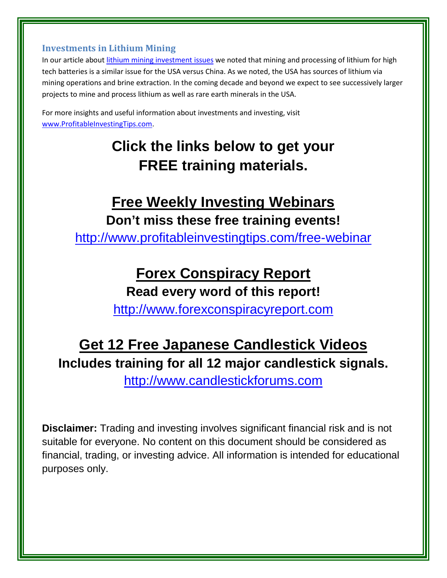#### **Investments in Lithium Mining**

In our article about [lithium mining investment issues](https://profitableinvestingtips.com/profitable-investing-tips/lithium-mining-investment-issues) we noted that mining and processing of lithium for high tech batteries is a similar issue for the USA versus China. As we noted, the USA has sources of lithium via mining operations and brine extraction. In the coming decade and beyond we expect to see successively larger projects to mine and process lithium as well as rare earth minerals in the USA.

For more insights and useful information about investments and investing, visit [www.ProfitableInvestingTips.com.](http://www.profitableinvestingtips.com/)

## **Click the links below to get your FREE training materials.**

### **Free Weekly Investing Webinars Don't miss these free training events!**

<http://www.profitableinvestingtips.com/free-webinar>

### **Forex Conspiracy Report**

**Read every word of this report!**

[http://www.forexconspiracyreport.com](http://www.forexconspiracyreport.com/)

### **Get 12 Free Japanese Candlestick Videos Includes training for all 12 major candlestick signals.**

[http://www.candlestickforums.com](http://www.candlestickforums.com/)

**Disclaimer:** Trading and investing involves significant financial risk and is not suitable for everyone. No content on this document should be considered as financial, trading, or investing advice. All information is intended for educational purposes only.